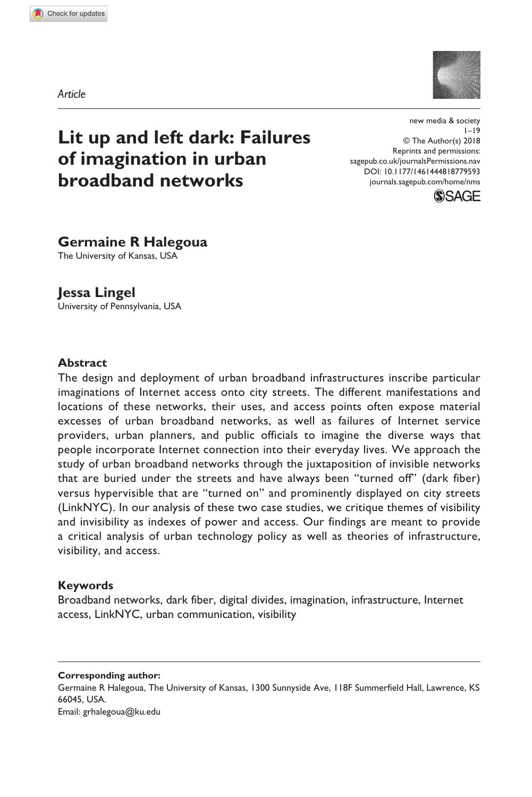*Article*

**7795[93](http://crossmark.crossref.org/dialog/?doi=10.1177%2F1461444818779593&domain=pdf&date_stamp=2018-06-05)** NMS0010.1177/1461444818779593new media & society**Halegoua and Lingel**



# **Lit up and left dark: Failures of imagination in urban broadband networks**

https://doi.org/10.1177/1461444818779593 DOI: 10.1177/1461444818779593 new media & society  $1 - 19$ © The Author(s) 2018 Reprints and permissions: [sagepub.co.uk/journalsPermissions.nav](https://uk.sagepub.com/en-gb/journals-permissions) [journals.sagepub.com/home/nms](https://journals.sagepub.com/home/nms)



# **Germaine R Halegoua**

The University of Kansas, USA

**Jessa Lingel** University of Pennsylvania, USA

## **Abstract**

The design and deployment of urban broadband infrastructures inscribe particular imaginations of Internet access onto city streets. The different manifestations and locations of these networks, their uses, and access points often expose material excesses of urban broadband networks, as well as failures of Internet service providers, urban planners, and public officials to imagine the diverse ways that people incorporate Internet connection into their everyday lives. We approach the study of urban broadband networks through the juxtaposition of invisible networks that are buried under the streets and have always been "turned off" (dark fiber) versus hypervisible that are "turned on" and prominently displayed on city streets (LinkNYC). In our analysis of these two case studies, we critique themes of visibility and invisibility as indexes of power and access. Our findings are meant to provide a critical analysis of urban technology policy as well as theories of infrastructure, visibility, and access.

# **Keywords**

Broadband networks, dark fiber, digital divides, imagination, infrastructure, Internet access, LinkNYC, urban communication, visibility

**Corresponding author:**

Germaine R Halegoua, The University of Kansas, 1300 Sunnyside Ave, 118F Summerfield Hall, Lawrence, KS 66045, USA.

Email: [grhalegoua@ku.edu](mailto:grhalegoua@ku.edu)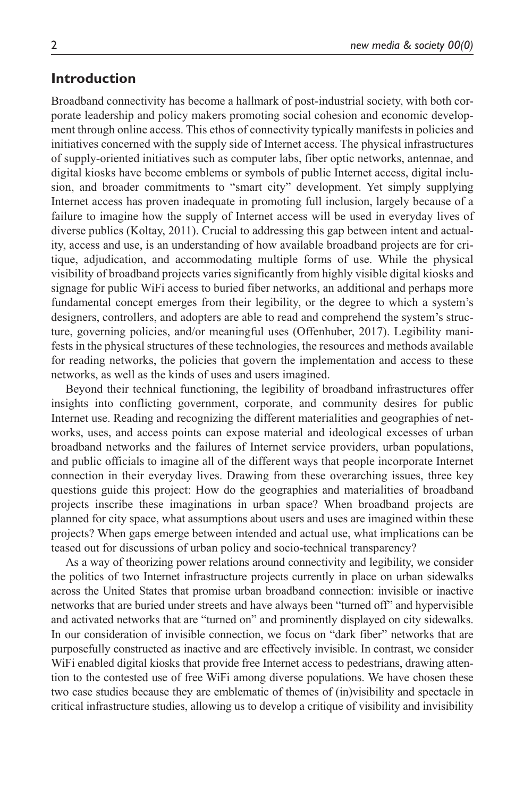# **Introduction**

Broadband connectivity has become a hallmark of post-industrial society, with both corporate leadership and policy makers promoting social cohesion and economic development through online access. This ethos of connectivity typically manifests in policies and initiatives concerned with the supply side of Internet access. The physical infrastructures of supply-oriented initiatives such as computer labs, fiber optic networks, antennae, and digital kiosks have become emblems or symbols of public Internet access, digital inclusion, and broader commitments to "smart city" development. Yet simply supplying Internet access has proven inadequate in promoting full inclusion, largely because of a failure to imagine how the supply of Internet access will be used in everyday lives of diverse publics (Koltay, 2011). Crucial to addressing this gap between intent and actuality, access and use, is an understanding of how available broadband projects are for critique, adjudication, and accommodating multiple forms of use. While the physical visibility of broadband projects varies significantly from highly visible digital kiosks and signage for public WiFi access to buried fiber networks, an additional and perhaps more fundamental concept emerges from their legibility, or the degree to which a system's designers, controllers, and adopters are able to read and comprehend the system's structure, governing policies, and/or meaningful uses (Offenhuber, 2017). Legibility manifests in the physical structures of these technologies, the resources and methods available for reading networks, the policies that govern the implementation and access to these networks, as well as the kinds of uses and users imagined.

Beyond their technical functioning, the legibility of broadband infrastructures offer insights into conflicting government, corporate, and community desires for public Internet use. Reading and recognizing the different materialities and geographies of networks, uses, and access points can expose material and ideological excesses of urban broadband networks and the failures of Internet service providers, urban populations, and public officials to imagine all of the different ways that people incorporate Internet connection in their everyday lives. Drawing from these overarching issues, three key questions guide this project: How do the geographies and materialities of broadband projects inscribe these imaginations in urban space? When broadband projects are planned for city space, what assumptions about users and uses are imagined within these projects? When gaps emerge between intended and actual use, what implications can be teased out for discussions of urban policy and socio-technical transparency?

As a way of theorizing power relations around connectivity and legibility, we consider the politics of two Internet infrastructure projects currently in place on urban sidewalks across the United States that promise urban broadband connection: invisible or inactive networks that are buried under streets and have always been "turned off" and hypervisible and activated networks that are "turned on" and prominently displayed on city sidewalks. In our consideration of invisible connection, we focus on "dark fiber" networks that are purposefully constructed as inactive and are effectively invisible. In contrast, we consider WiFi enabled digital kiosks that provide free Internet access to pedestrians, drawing attention to the contested use of free WiFi among diverse populations. We have chosen these two case studies because they are emblematic of themes of (in)visibility and spectacle in critical infrastructure studies, allowing us to develop a critique of visibility and invisibility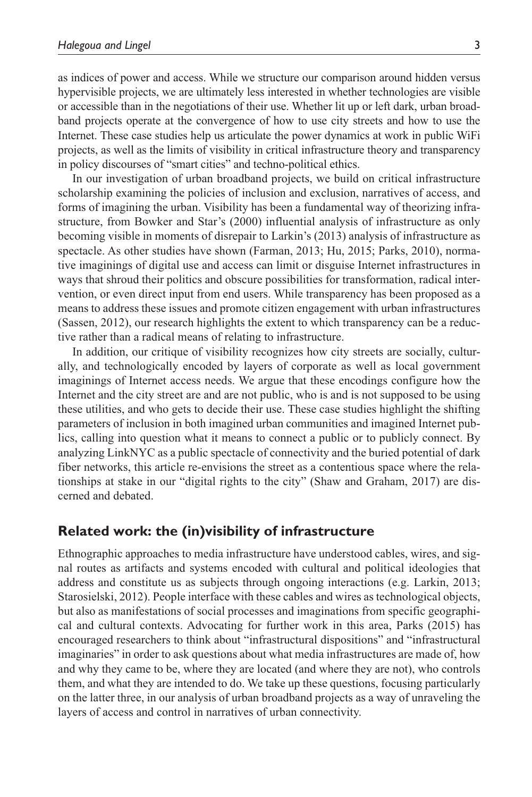as indices of power and access. While we structure our comparison around hidden versus hypervisible projects, we are ultimately less interested in whether technologies are visible or accessible than in the negotiations of their use. Whether lit up or left dark, urban broadband projects operate at the convergence of how to use city streets and how to use the Internet. These case studies help us articulate the power dynamics at work in public WiFi projects, as well as the limits of visibility in critical infrastructure theory and transparency in policy discourses of "smart cities" and techno-political ethics.

In our investigation of urban broadband projects, we build on critical infrastructure scholarship examining the policies of inclusion and exclusion, narratives of access, and forms of imagining the urban. Visibility has been a fundamental way of theorizing infrastructure, from Bowker and Star's (2000) influential analysis of infrastructure as only becoming visible in moments of disrepair to Larkin's (2013) analysis of infrastructure as spectacle. As other studies have shown (Farman, 2013; Hu, 2015; Parks, 2010), normative imaginings of digital use and access can limit or disguise Internet infrastructures in ways that shroud their politics and obscure possibilities for transformation, radical intervention, or even direct input from end users. While transparency has been proposed as a means to address these issues and promote citizen engagement with urban infrastructures (Sassen, 2012), our research highlights the extent to which transparency can be a reductive rather than a radical means of relating to infrastructure.

In addition, our critique of visibility recognizes how city streets are socially, culturally, and technologically encoded by layers of corporate as well as local government imaginings of Internet access needs. We argue that these encodings configure how the Internet and the city street are and are not public, who is and is not supposed to be using these utilities, and who gets to decide their use. These case studies highlight the shifting parameters of inclusion in both imagined urban communities and imagined Internet publics, calling into question what it means to connect a public or to publicly connect. By analyzing LinkNYC as a public spectacle of connectivity and the buried potential of dark fiber networks, this article re-envisions the street as a contentious space where the relationships at stake in our "digital rights to the city" (Shaw and Graham, 2017) are discerned and debated.

## **Related work: the (in)visibility of infrastructure**

Ethnographic approaches to media infrastructure have understood cables, wires, and signal routes as artifacts and systems encoded with cultural and political ideologies that address and constitute us as subjects through ongoing interactions (e.g. Larkin, 2013; Starosielski, 2012). People interface with these cables and wires as technological objects, but also as manifestations of social processes and imaginations from specific geographical and cultural contexts. Advocating for further work in this area, Parks (2015) has encouraged researchers to think about "infrastructural dispositions" and "infrastructural imaginaries" in order to ask questions about what media infrastructures are made of, how and why they came to be, where they are located (and where they are not), who controls them, and what they are intended to do. We take up these questions, focusing particularly on the latter three, in our analysis of urban broadband projects as a way of unraveling the layers of access and control in narratives of urban connectivity.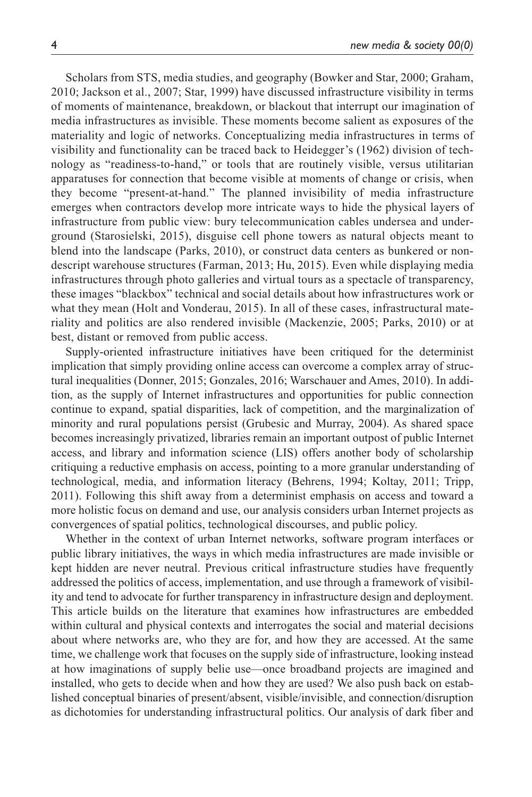Scholars from STS, media studies, and geography (Bowker and Star, 2000; Graham, 2010; Jackson et al., 2007; Star, 1999) have discussed infrastructure visibility in terms of moments of maintenance, breakdown, or blackout that interrupt our imagination of media infrastructures as invisible. These moments become salient as exposures of the materiality and logic of networks. Conceptualizing media infrastructures in terms of visibility and functionality can be traced back to Heidegger's (1962) division of technology as "readiness-to-hand," or tools that are routinely visible, versus utilitarian apparatuses for connection that become visible at moments of change or crisis, when they become "present-at-hand." The planned invisibility of media infrastructure emerges when contractors develop more intricate ways to hide the physical layers of infrastructure from public view: bury telecommunication cables undersea and underground (Starosielski, 2015), disguise cell phone towers as natural objects meant to blend into the landscape (Parks, 2010), or construct data centers as bunkered or nondescript warehouse structures (Farman, 2013; Hu, 2015). Even while displaying media infrastructures through photo galleries and virtual tours as a spectacle of transparency, these images "blackbox" technical and social details about how infrastructures work or what they mean (Holt and Vonderau, 2015). In all of these cases, infrastructural materiality and politics are also rendered invisible (Mackenzie, 2005; Parks, 2010) or at best, distant or removed from public access.

Supply-oriented infrastructure initiatives have been critiqued for the determinist implication that simply providing online access can overcome a complex array of structural inequalities (Donner, 2015; Gonzales, 2016; Warschauer and Ames, 2010). In addition, as the supply of Internet infrastructures and opportunities for public connection continue to expand, spatial disparities, lack of competition, and the marginalization of minority and rural populations persist (Grubesic and Murray, 2004). As shared space becomes increasingly privatized, libraries remain an important outpost of public Internet access, and library and information science (LIS) offers another body of scholarship critiquing a reductive emphasis on access, pointing to a more granular understanding of technological, media, and information literacy (Behrens, 1994; Koltay, 2011; Tripp, 2011). Following this shift away from a determinist emphasis on access and toward a more holistic focus on demand and use, our analysis considers urban Internet projects as convergences of spatial politics, technological discourses, and public policy.

Whether in the context of urban Internet networks, software program interfaces or public library initiatives, the ways in which media infrastructures are made invisible or kept hidden are never neutral. Previous critical infrastructure studies have frequently addressed the politics of access, implementation, and use through a framework of visibility and tend to advocate for further transparency in infrastructure design and deployment. This article builds on the literature that examines how infrastructures are embedded within cultural and physical contexts and interrogates the social and material decisions about where networks are, who they are for, and how they are accessed. At the same time, we challenge work that focuses on the supply side of infrastructure, looking instead at how imaginations of supply belie use—once broadband projects are imagined and installed, who gets to decide when and how they are used? We also push back on established conceptual binaries of present/absent, visible/invisible, and connection/disruption as dichotomies for understanding infrastructural politics. Our analysis of dark fiber and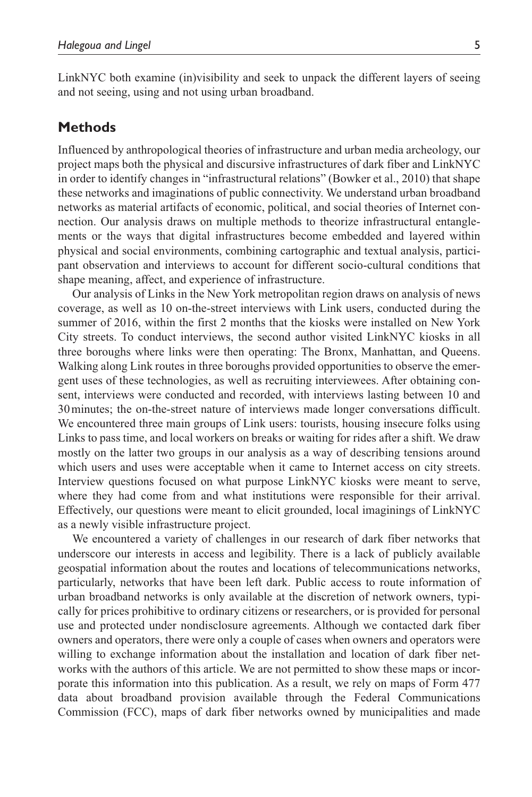LinkNYC both examine (in)visibility and seek to unpack the different layers of seeing and not seeing, using and not using urban broadband.

# **Methods**

Influenced by anthropological theories of infrastructure and urban media archeology, our project maps both the physical and discursive infrastructures of dark fiber and LinkNYC in order to identify changes in "infrastructural relations" (Bowker et al., 2010) that shape these networks and imaginations of public connectivity. We understand urban broadband networks as material artifacts of economic, political, and social theories of Internet connection. Our analysis draws on multiple methods to theorize infrastructural entanglements or the ways that digital infrastructures become embedded and layered within physical and social environments, combining cartographic and textual analysis, participant observation and interviews to account for different socio-cultural conditions that shape meaning, affect, and experience of infrastructure.

Our analysis of Links in the New York metropolitan region draws on analysis of news coverage, as well as 10 on-the-street interviews with Link users, conducted during the summer of 2016, within the first 2 months that the kiosks were installed on New York City streets. To conduct interviews, the second author visited LinkNYC kiosks in all three boroughs where links were then operating: The Bronx, Manhattan, and Queens. Walking along Link routes in three boroughs provided opportunities to observe the emergent uses of these technologies, as well as recruiting interviewees. After obtaining consent, interviews were conducted and recorded, with interviews lasting between 10 and 30minutes; the on-the-street nature of interviews made longer conversations difficult. We encountered three main groups of Link users: tourists, housing insecure folks using Links to pass time, and local workers on breaks or waiting for rides after a shift. We draw mostly on the latter two groups in our analysis as a way of describing tensions around which users and uses were acceptable when it came to Internet access on city streets. Interview questions focused on what purpose LinkNYC kiosks were meant to serve, where they had come from and what institutions were responsible for their arrival. Effectively, our questions were meant to elicit grounded, local imaginings of LinkNYC as a newly visible infrastructure project.

We encountered a variety of challenges in our research of dark fiber networks that underscore our interests in access and legibility. There is a lack of publicly available geospatial information about the routes and locations of telecommunications networks, particularly, networks that have been left dark. Public access to route information of urban broadband networks is only available at the discretion of network owners, typically for prices prohibitive to ordinary citizens or researchers, or is provided for personal use and protected under nondisclosure agreements. Although we contacted dark fiber owners and operators, there were only a couple of cases when owners and operators were willing to exchange information about the installation and location of dark fiber networks with the authors of this article. We are not permitted to show these maps or incorporate this information into this publication. As a result, we rely on maps of Form 477 data about broadband provision available through the Federal Communications Commission (FCC), maps of dark fiber networks owned by municipalities and made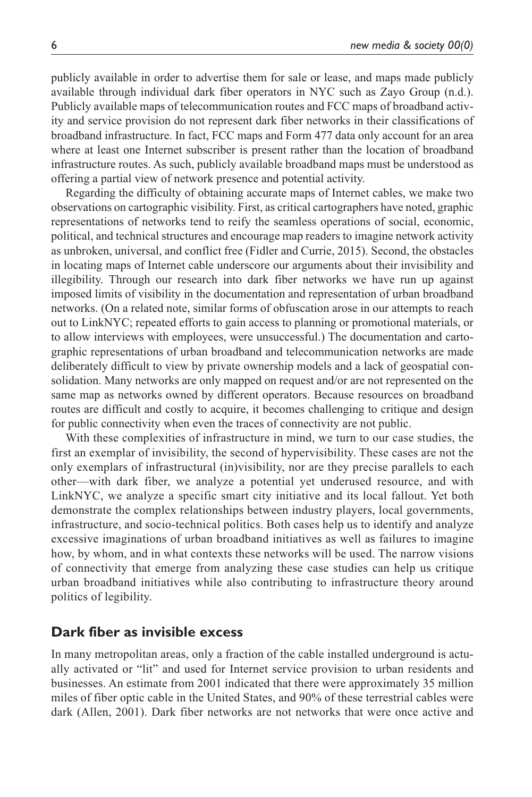publicly available in order to advertise them for sale or lease, and maps made publicly available through individual dark fiber operators in NYC such as Zayo Group (n.d.). Publicly available maps of telecommunication routes and FCC maps of broadband activity and service provision do not represent dark fiber networks in their classifications of broadband infrastructure. In fact, FCC maps and Form 477 data only account for an area where at least one Internet subscriber is present rather than the location of broadband infrastructure routes. As such, publicly available broadband maps must be understood as offering a partial view of network presence and potential activity.

Regarding the difficulty of obtaining accurate maps of Internet cables, we make two observations on cartographic visibility. First, as critical cartographers have noted, graphic representations of networks tend to reify the seamless operations of social, economic, political, and technical structures and encourage map readers to imagine network activity as unbroken, universal, and conflict free (Fidler and Currie, 2015). Second, the obstacles in locating maps of Internet cable underscore our arguments about their invisibility and illegibility. Through our research into dark fiber networks we have run up against imposed limits of visibility in the documentation and representation of urban broadband networks. (On a related note, similar forms of obfuscation arose in our attempts to reach out to LinkNYC; repeated efforts to gain access to planning or promotional materials, or to allow interviews with employees, were unsuccessful.) The documentation and cartographic representations of urban broadband and telecommunication networks are made deliberately difficult to view by private ownership models and a lack of geospatial consolidation. Many networks are only mapped on request and/or are not represented on the same map as networks owned by different operators. Because resources on broadband routes are difficult and costly to acquire, it becomes challenging to critique and design for public connectivity when even the traces of connectivity are not public.

With these complexities of infrastructure in mind, we turn to our case studies, the first an exemplar of invisibility, the second of hypervisibility. These cases are not the only exemplars of infrastructural (in)visibility, nor are they precise parallels to each other—with dark fiber, we analyze a potential yet underused resource, and with LinkNYC, we analyze a specific smart city initiative and its local fallout. Yet both demonstrate the complex relationships between industry players, local governments, infrastructure, and socio-technical politics. Both cases help us to identify and analyze excessive imaginations of urban broadband initiatives as well as failures to imagine how, by whom, and in what contexts these networks will be used. The narrow visions of connectivity that emerge from analyzing these case studies can help us critique urban broadband initiatives while also contributing to infrastructure theory around politics of legibility.

# **Dark fiber as invisible excess**

In many metropolitan areas, only a fraction of the cable installed underground is actually activated or "lit" and used for Internet service provision to urban residents and businesses. An estimate from 2001 indicated that there were approximately 35 million miles of fiber optic cable in the United States, and 90% of these terrestrial cables were dark (Allen, 2001). Dark fiber networks are not networks that were once active and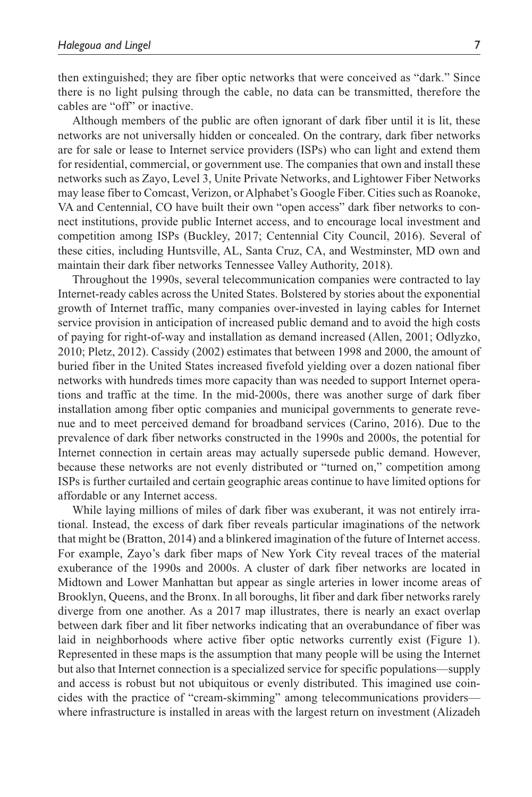then extinguished; they are fiber optic networks that were conceived as "dark." Since there is no light pulsing through the cable, no data can be transmitted, therefore the cables are "off" or inactive.

Although members of the public are often ignorant of dark fiber until it is lit, these networks are not universally hidden or concealed. On the contrary, dark fiber networks are for sale or lease to Internet service providers (ISPs) who can light and extend them for residential, commercial, or government use. The companies that own and install these networks such as Zayo, Level 3, Unite Private Networks, and Lightower Fiber Networks may lease fiber to Comcast, Verizon, or Alphabet's Google Fiber. Cities such as Roanoke, VA and Centennial, CO have built their own "open access" dark fiber networks to connect institutions, provide public Internet access, and to encourage local investment and competition among ISPs (Buckley, 2017; Centennial City Council, 2016). Several of these cities, including Huntsville, AL, Santa Cruz, CA, and Westminster, MD own and maintain their dark fiber networks Tennessee Valley Authority, 2018).

Throughout the 1990s, several telecommunication companies were contracted to lay Internet-ready cables across the United States. Bolstered by stories about the exponential growth of Internet traffic, many companies over-invested in laying cables for Internet service provision in anticipation of increased public demand and to avoid the high costs of paying for right-of-way and installation as demand increased (Allen, 2001; Odlyzko, 2010; Pletz, 2012). Cassidy (2002) estimates that between 1998 and 2000, the amount of buried fiber in the United States increased fivefold yielding over a dozen national fiber networks with hundreds times more capacity than was needed to support Internet operations and traffic at the time. In the mid-2000s, there was another surge of dark fiber installation among fiber optic companies and municipal governments to generate revenue and to meet perceived demand for broadband services (Carino, 2016). Due to the prevalence of dark fiber networks constructed in the 1990s and 2000s, the potential for Internet connection in certain areas may actually supersede public demand. However, because these networks are not evenly distributed or "turned on," competition among ISPs is further curtailed and certain geographic areas continue to have limited options for affordable or any Internet access.

While laying millions of miles of dark fiber was exuberant, it was not entirely irrational. Instead, the excess of dark fiber reveals particular imaginations of the network that might be (Bratton, 2014) and a blinkered imagination of the future of Internet access. For example, Zayo's dark fiber maps of New York City reveal traces of the material exuberance of the 1990s and 2000s. A cluster of dark fiber networks are located in Midtown and Lower Manhattan but appear as single arteries in lower income areas of Brooklyn, Queens, and the Bronx. In all boroughs, lit fiber and dark fiber networks rarely diverge from one another. As a 2017 map illustrates, there is nearly an exact overlap between dark fiber and lit fiber networks indicating that an overabundance of fiber was laid in neighborhoods where active fiber optic networks currently exist (Figure 1). Represented in these maps is the assumption that many people will be using the Internet but also that Internet connection is a specialized service for specific populations—supply and access is robust but not ubiquitous or evenly distributed. This imagined use coincides with the practice of "cream-skimming" among telecommunications providers where infrastructure is installed in areas with the largest return on investment (Alizadeh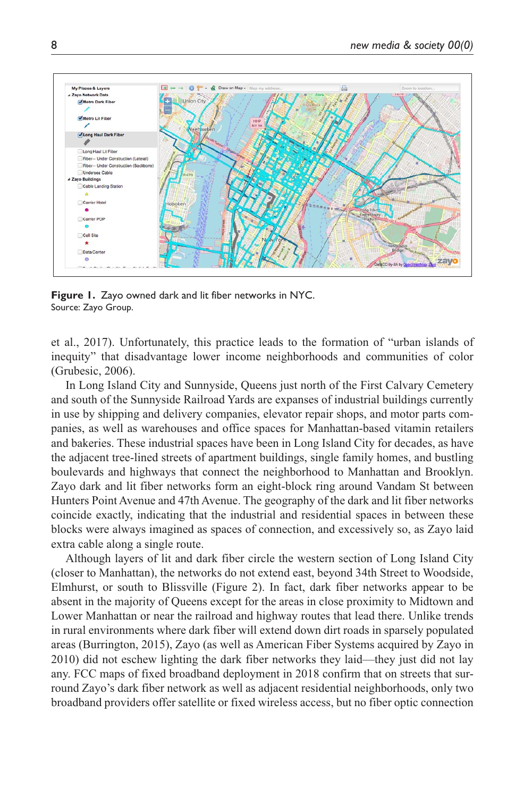

**Figure 1.** Zayo owned dark and lit fiber networks in NYC. Source: Zayo Group.

et al., 2017). Unfortunately, this practice leads to the formation of "urban islands of inequity" that disadvantage lower income neighborhoods and communities of color (Grubesic, 2006).

In Long Island City and Sunnyside, Queens just north of the First Calvary Cemetery and south of the Sunnyside Railroad Yards are expanses of industrial buildings currently in use by shipping and delivery companies, elevator repair shops, and motor parts companies, as well as warehouses and office spaces for Manhattan-based vitamin retailers and bakeries. These industrial spaces have been in Long Island City for decades, as have the adjacent tree-lined streets of apartment buildings, single family homes, and bustling boulevards and highways that connect the neighborhood to Manhattan and Brooklyn. Zayo dark and lit fiber networks form an eight-block ring around Vandam St between Hunters Point Avenue and 47th Avenue. The geography of the dark and lit fiber networks coincide exactly, indicating that the industrial and residential spaces in between these blocks were always imagined as spaces of connection, and excessively so, as Zayo laid extra cable along a single route.

Although layers of lit and dark fiber circle the western section of Long Island City (closer to Manhattan), the networks do not extend east, beyond 34th Street to Woodside, Elmhurst, or south to Blissville (Figure 2). In fact, dark fiber networks appear to be absent in the majority of Queens except for the areas in close proximity to Midtown and Lower Manhattan or near the railroad and highway routes that lead there. Unlike trends in rural environments where dark fiber will extend down dirt roads in sparsely populated areas (Burrington, 2015), Zayo (as well as American Fiber Systems acquired by Zayo in 2010) did not eschew lighting the dark fiber networks they laid—they just did not lay any. FCC maps of fixed broadband deployment in 2018 confirm that on streets that surround Zayo's dark fiber network as well as adjacent residential neighborhoods, only two broadband providers offer satellite or fixed wireless access, but no fiber optic connection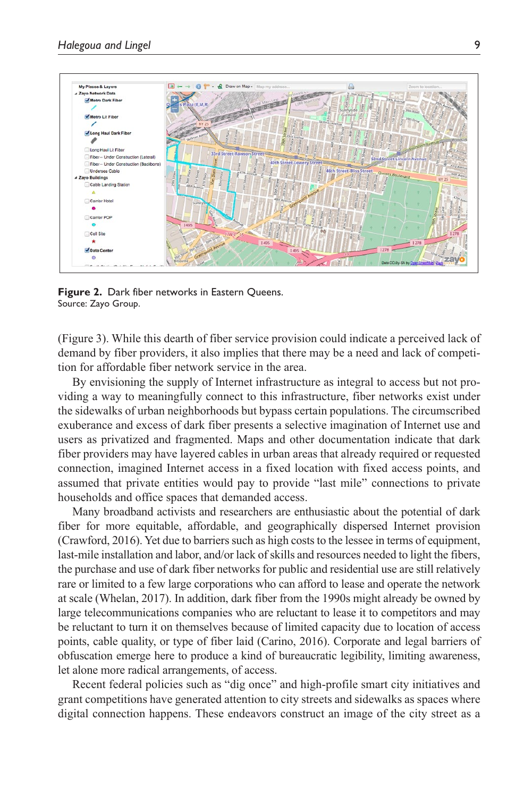

**Figure 2.** Dark fiber networks in Eastern Queens. Source: Zayo Group.

(Figure 3). While this dearth of fiber service provision could indicate a perceived lack of demand by fiber providers, it also implies that there may be a need and lack of competition for affordable fiber network service in the area.

By envisioning the supply of Internet infrastructure as integral to access but not providing a way to meaningfully connect to this infrastructure, fiber networks exist under the sidewalks of urban neighborhoods but bypass certain populations. The circumscribed exuberance and excess of dark fiber presents a selective imagination of Internet use and users as privatized and fragmented. Maps and other documentation indicate that dark fiber providers may have layered cables in urban areas that already required or requested connection, imagined Internet access in a fixed location with fixed access points, and assumed that private entities would pay to provide "last mile" connections to private households and office spaces that demanded access.

Many broadband activists and researchers are enthusiastic about the potential of dark fiber for more equitable, affordable, and geographically dispersed Internet provision (Crawford, 2016). Yet due to barriers such as high costs to the lessee in terms of equipment, last-mile installation and labor, and/or lack of skills and resources needed to light the fibers, the purchase and use of dark fiber networks for public and residential use are still relatively rare or limited to a few large corporations who can afford to lease and operate the network at scale (Whelan, 2017). In addition, dark fiber from the 1990s might already be owned by large telecommunications companies who are reluctant to lease it to competitors and may be reluctant to turn it on themselves because of limited capacity due to location of access points, cable quality, or type of fiber laid (Carino, 2016). Corporate and legal barriers of obfuscation emerge here to produce a kind of bureaucratic legibility, limiting awareness, let alone more radical arrangements, of access.

Recent federal policies such as "dig once" and high-profile smart city initiatives and grant competitions have generated attention to city streets and sidewalks as spaces where digital connection happens. These endeavors construct an image of the city street as a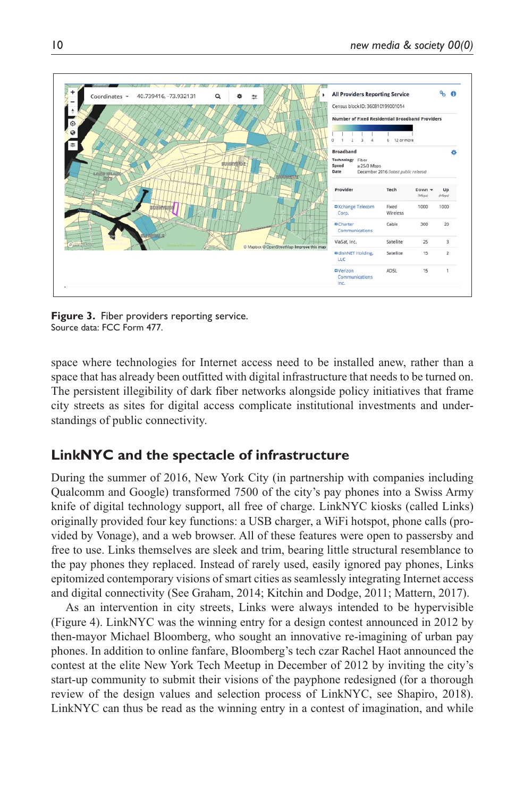

**Figure 3.** Fiber providers reporting service. Source data: FCC Form 477.

space where technologies for Internet access need to be installed anew, rather than a space that has already been outfitted with digital infrastructure that needs to be turned on. The persistent illegibility of dark fiber networks alongside policy initiatives that frame city streets as sites for digital access complicate institutional investments and understandings of public connectivity.

# **LinkNYC and the spectacle of infrastructure**

During the summer of 2016, New York City (in partnership with companies including Qualcomm and Google) transformed 7500 of the city's pay phones into a Swiss Army knife of digital technology support, all free of charge. LinkNYC kiosks (called Links) originally provided four key functions: a USB charger, a WiFi hotspot, phone calls (provided by Vonage), and a web browser. All of these features were open to passersby and free to use. Links themselves are sleek and trim, bearing little structural resemblance to the pay phones they replaced. Instead of rarely used, easily ignored pay phones, Links epitomized contemporary visions of smart cities as seamlessly integrating Internet access and digital connectivity (See Graham, 2014; Kitchin and Dodge, 2011; Mattern, 2017).

As an intervention in city streets, Links were always intended to be hypervisible (Figure 4). LinkNYC was the winning entry for a design contest announced in 2012 by then-mayor Michael Bloomberg, who sought an innovative re-imagining of urban pay phones. In addition to online fanfare, Bloomberg's tech czar Rachel Haot announced the contest at the elite New York Tech Meetup in December of 2012 by inviting the city's start-up community to submit their visions of the payphone redesigned (for a thorough review of the design values and selection process of LinkNYC, see Shapiro, 2018). LinkNYC can thus be read as the winning entry in a contest of imagination, and while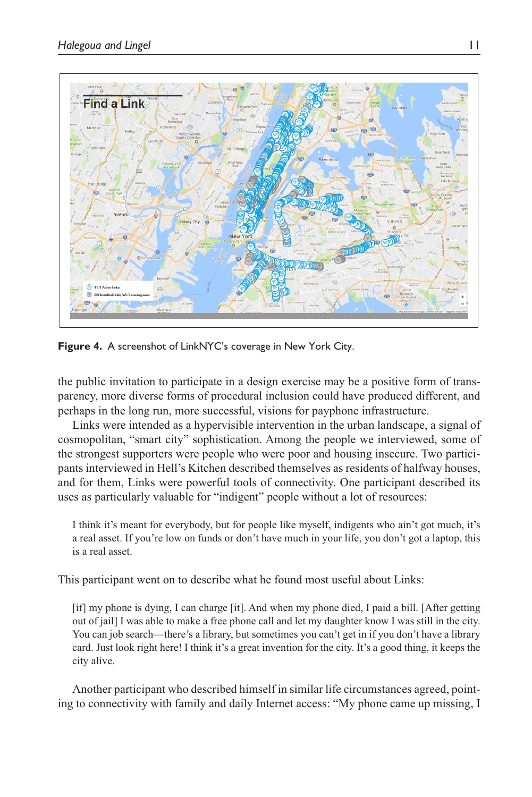

**Figure 4.** A screenshot of LinkNYC's coverage in New York City.

the public invitation to participate in a design exercise may be a positive form of transparency, more diverse forms of procedural inclusion could have produced different, and perhaps in the long run, more successful, visions for payphone infrastructure.

Links were intended as a hypervisible intervention in the urban landscape, a signal of cosmopolitan, "smart city" sophistication. Among the people we interviewed, some of the strongest supporters were people who were poor and housing insecure. Two participants interviewed in Hell's Kitchen described themselves as residents of halfway houses, and for them, Links were powerful tools of connectivity. One participant described its uses as particularly valuable for "indigent" people without a lot of resources:

I think it's meant for everybody, but for people like myself, indigents who ain't got much, it's a real asset. If you're low on funds or don't have much in your life, you don't got a laptop, this is a real asset.

This participant went on to describe what he found most useful about Links:

[if] my phone is dying, I can charge [it]. And when my phone died, I paid a bill. [After getting out of jail] I was able to make a free phone call and let my daughter know I was still in the city. You can job search—there's a library, but sometimes you can't get in if you don't have a library card. Just look right here! I think it's a great invention for the city. It's a good thing, it keeps the city alive.

Another participant who described himself in similar life circumstances agreed, pointing to connectivity with family and daily Internet access: "My phone came up missing, I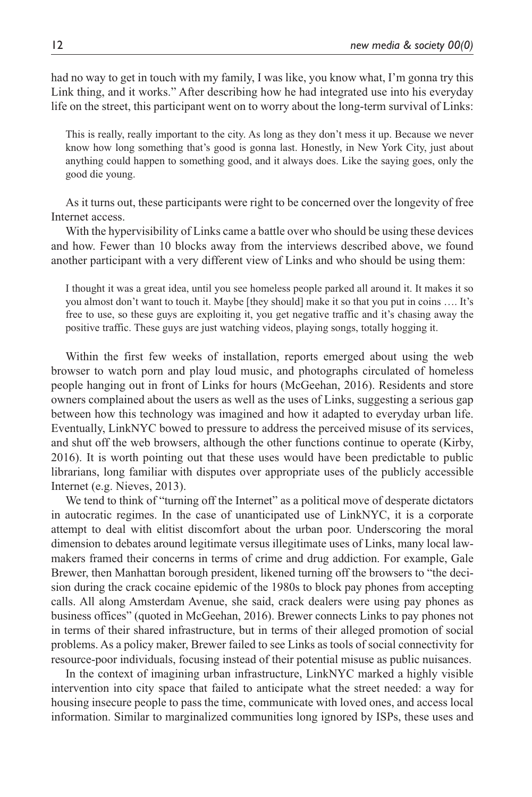had no way to get in touch with my family, I was like, you know what, I'm gonna try this Link thing, and it works." After describing how he had integrated use into his everyday life on the street, this participant went on to worry about the long-term survival of Links:

This is really, really important to the city. As long as they don't mess it up. Because we never know how long something that's good is gonna last. Honestly, in New York City, just about anything could happen to something good, and it always does. Like the saying goes, only the good die young.

As it turns out, these participants were right to be concerned over the longevity of free Internet access.

With the hypervisibility of Links came a battle over who should be using these devices and how. Fewer than 10 blocks away from the interviews described above, we found another participant with a very different view of Links and who should be using them:

I thought it was a great idea, until you see homeless people parked all around it. It makes it so you almost don't want to touch it. Maybe [they should] make it so that you put in coins …. It's free to use, so these guys are exploiting it, you get negative traffic and it's chasing away the positive traffic. These guys are just watching videos, playing songs, totally hogging it.

Within the first few weeks of installation, reports emerged about using the web browser to watch porn and play loud music, and photographs circulated of homeless people hanging out in front of Links for hours (McGeehan, 2016). Residents and store owners complained about the users as well as the uses of Links, suggesting a serious gap between how this technology was imagined and how it adapted to everyday urban life. Eventually, LinkNYC bowed to pressure to address the perceived misuse of its services, and shut off the web browsers, although the other functions continue to operate (Kirby, 2016). It is worth pointing out that these uses would have been predictable to public librarians, long familiar with disputes over appropriate uses of the publicly accessible Internet (e.g. Nieves, 2013).

We tend to think of "turning off the Internet" as a political move of desperate dictators in autocratic regimes. In the case of unanticipated use of LinkNYC, it is a corporate attempt to deal with elitist discomfort about the urban poor. Underscoring the moral dimension to debates around legitimate versus illegitimate uses of Links, many local lawmakers framed their concerns in terms of crime and drug addiction. For example, Gale Brewer, then Manhattan borough president, likened turning off the browsers to "the decision during the crack cocaine epidemic of the 1980s to block pay phones from accepting calls. All along Amsterdam Avenue, she said, crack dealers were using pay phones as business offices" (quoted in McGeehan, 2016). Brewer connects Links to pay phones not in terms of their shared infrastructure, but in terms of their alleged promotion of social problems. As a policy maker, Brewer failed to see Links as tools of social connectivity for resource-poor individuals, focusing instead of their potential misuse as public nuisances.

In the context of imagining urban infrastructure, LinkNYC marked a highly visible intervention into city space that failed to anticipate what the street needed: a way for housing insecure people to pass the time, communicate with loved ones, and access local information. Similar to marginalized communities long ignored by ISPs, these uses and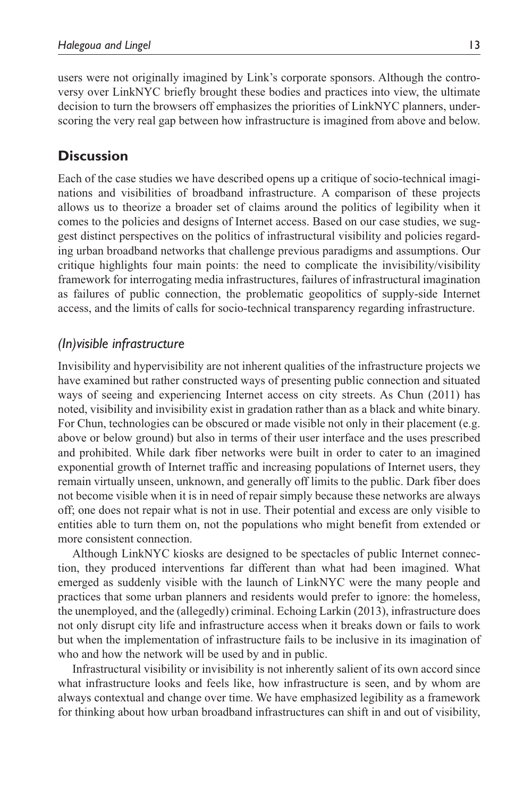users were not originally imagined by Link's corporate sponsors. Although the controversy over LinkNYC briefly brought these bodies and practices into view, the ultimate decision to turn the browsers off emphasizes the priorities of LinkNYC planners, underscoring the very real gap between how infrastructure is imagined from above and below.

# **Discussion**

Each of the case studies we have described opens up a critique of socio-technical imaginations and visibilities of broadband infrastructure. A comparison of these projects allows us to theorize a broader set of claims around the politics of legibility when it comes to the policies and designs of Internet access. Based on our case studies, we suggest distinct perspectives on the politics of infrastructural visibility and policies regarding urban broadband networks that challenge previous paradigms and assumptions. Our critique highlights four main points: the need to complicate the invisibility/visibility framework for interrogating media infrastructures, failures of infrastructural imagination as failures of public connection, the problematic geopolitics of supply-side Internet access, and the limits of calls for socio-technical transparency regarding infrastructure.

## *(In)visible infrastructure*

Invisibility and hypervisibility are not inherent qualities of the infrastructure projects we have examined but rather constructed ways of presenting public connection and situated ways of seeing and experiencing Internet access on city streets. As Chun (2011) has noted, visibility and invisibility exist in gradation rather than as a black and white binary. For Chun, technologies can be obscured or made visible not only in their placement (e.g. above or below ground) but also in terms of their user interface and the uses prescribed and prohibited. While dark fiber networks were built in order to cater to an imagined exponential growth of Internet traffic and increasing populations of Internet users, they remain virtually unseen, unknown, and generally off limits to the public. Dark fiber does not become visible when it is in need of repair simply because these networks are always off; one does not repair what is not in use. Their potential and excess are only visible to entities able to turn them on, not the populations who might benefit from extended or more consistent connection.

Although LinkNYC kiosks are designed to be spectacles of public Internet connection, they produced interventions far different than what had been imagined. What emerged as suddenly visible with the launch of LinkNYC were the many people and practices that some urban planners and residents would prefer to ignore: the homeless, the unemployed, and the (allegedly) criminal. Echoing Larkin (2013), infrastructure does not only disrupt city life and infrastructure access when it breaks down or fails to work but when the implementation of infrastructure fails to be inclusive in its imagination of who and how the network will be used by and in public.

Infrastructural visibility or invisibility is not inherently salient of its own accord since what infrastructure looks and feels like, how infrastructure is seen, and by whom are always contextual and change over time. We have emphasized legibility as a framework for thinking about how urban broadband infrastructures can shift in and out of visibility,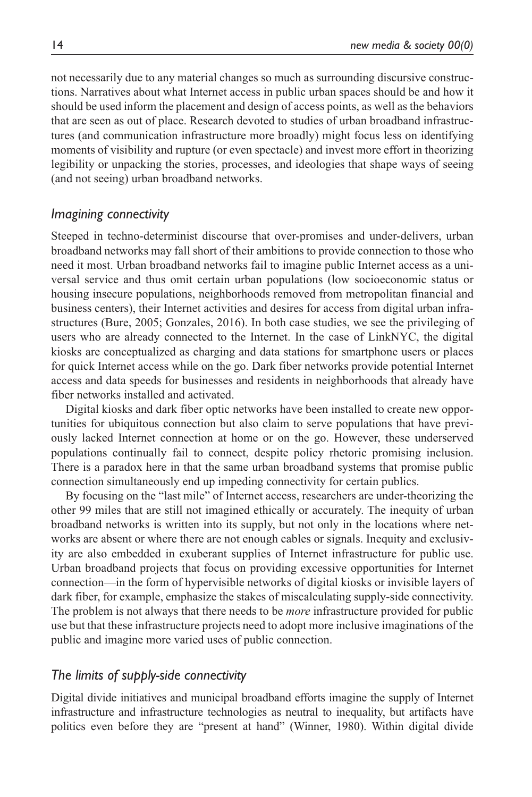not necessarily due to any material changes so much as surrounding discursive constructions. Narratives about what Internet access in public urban spaces should be and how it should be used inform the placement and design of access points, as well as the behaviors that are seen as out of place. Research devoted to studies of urban broadband infrastructures (and communication infrastructure more broadly) might focus less on identifying moments of visibility and rupture (or even spectacle) and invest more effort in theorizing legibility or unpacking the stories, processes, and ideologies that shape ways of seeing (and not seeing) urban broadband networks.

#### *Imagining connectivity*

Steeped in techno-determinist discourse that over-promises and under-delivers, urban broadband networks may fall short of their ambitions to provide connection to those who need it most. Urban broadband networks fail to imagine public Internet access as a universal service and thus omit certain urban populations (low socioeconomic status or housing insecure populations, neighborhoods removed from metropolitan financial and business centers), their Internet activities and desires for access from digital urban infrastructures (Bure, 2005; Gonzales, 2016). In both case studies, we see the privileging of users who are already connected to the Internet. In the case of LinkNYC, the digital kiosks are conceptualized as charging and data stations for smartphone users or places for quick Internet access while on the go. Dark fiber networks provide potential Internet access and data speeds for businesses and residents in neighborhoods that already have fiber networks installed and activated.

Digital kiosks and dark fiber optic networks have been installed to create new opportunities for ubiquitous connection but also claim to serve populations that have previously lacked Internet connection at home or on the go. However, these underserved populations continually fail to connect, despite policy rhetoric promising inclusion. There is a paradox here in that the same urban broadband systems that promise public connection simultaneously end up impeding connectivity for certain publics.

By focusing on the "last mile" of Internet access, researchers are under-theorizing the other 99 miles that are still not imagined ethically or accurately. The inequity of urban broadband networks is written into its supply, but not only in the locations where networks are absent or where there are not enough cables or signals. Inequity and exclusivity are also embedded in exuberant supplies of Internet infrastructure for public use. Urban broadband projects that focus on providing excessive opportunities for Internet connection—in the form of hypervisible networks of digital kiosks or invisible layers of dark fiber, for example, emphasize the stakes of miscalculating supply-side connectivity. The problem is not always that there needs to be *more* infrastructure provided for public use but that these infrastructure projects need to adopt more inclusive imaginations of the public and imagine more varied uses of public connection.

## *The limits of supply-side connectivity*

Digital divide initiatives and municipal broadband efforts imagine the supply of Internet infrastructure and infrastructure technologies as neutral to inequality, but artifacts have politics even before they are "present at hand" (Winner, 1980). Within digital divide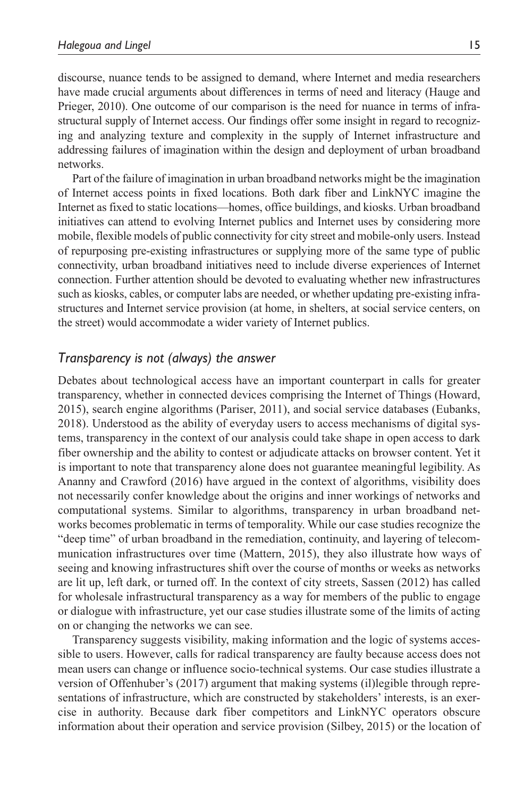discourse, nuance tends to be assigned to demand, where Internet and media researchers have made crucial arguments about differences in terms of need and literacy (Hauge and Prieger, 2010). One outcome of our comparison is the need for nuance in terms of infrastructural supply of Internet access. Our findings offer some insight in regard to recognizing and analyzing texture and complexity in the supply of Internet infrastructure and addressing failures of imagination within the design and deployment of urban broadband networks.

Part of the failure of imagination in urban broadband networks might be the imagination of Internet access points in fixed locations. Both dark fiber and LinkNYC imagine the Internet as fixed to static locations—homes, office buildings, and kiosks. Urban broadband initiatives can attend to evolving Internet publics and Internet uses by considering more mobile, flexible models of public connectivity for city street and mobile-only users. Instead of repurposing pre-existing infrastructures or supplying more of the same type of public connectivity, urban broadband initiatives need to include diverse experiences of Internet connection. Further attention should be devoted to evaluating whether new infrastructures such as kiosks, cables, or computer labs are needed, or whether updating pre-existing infrastructures and Internet service provision (at home, in shelters, at social service centers, on the street) would accommodate a wider variety of Internet publics.

### *Transparency is not (always) the answer*

Debates about technological access have an important counterpart in calls for greater transparency, whether in connected devices comprising the Internet of Things (Howard, 2015), search engine algorithms (Pariser, 2011), and social service databases (Eubanks, 2018). Understood as the ability of everyday users to access mechanisms of digital systems, transparency in the context of our analysis could take shape in open access to dark fiber ownership and the ability to contest or adjudicate attacks on browser content. Yet it is important to note that transparency alone does not guarantee meaningful legibility. As Ananny and Crawford (2016) have argued in the context of algorithms, visibility does not necessarily confer knowledge about the origins and inner workings of networks and computational systems. Similar to algorithms, transparency in urban broadband networks becomes problematic in terms of temporality. While our case studies recognize the "deep time" of urban broadband in the remediation, continuity, and layering of telecommunication infrastructures over time (Mattern, 2015), they also illustrate how ways of seeing and knowing infrastructures shift over the course of months or weeks as networks are lit up, left dark, or turned off. In the context of city streets, Sassen (2012) has called for wholesale infrastructural transparency as a way for members of the public to engage or dialogue with infrastructure, yet our case studies illustrate some of the limits of acting on or changing the networks we can see.

Transparency suggests visibility, making information and the logic of systems accessible to users. However, calls for radical transparency are faulty because access does not mean users can change or influence socio-technical systems. Our case studies illustrate a version of Offenhuber's (2017) argument that making systems (il)legible through representations of infrastructure, which are constructed by stakeholders' interests, is an exercise in authority. Because dark fiber competitors and LinkNYC operators obscure information about their operation and service provision (Silbey, 2015) or the location of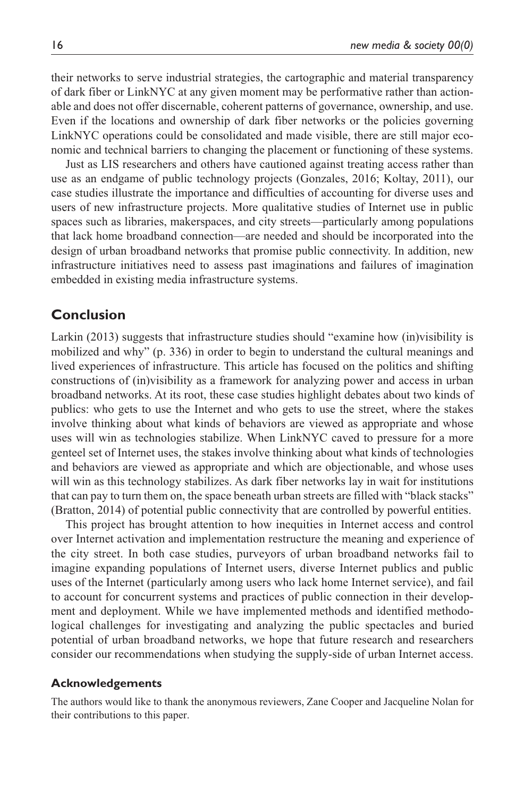their networks to serve industrial strategies, the cartographic and material transparency of dark fiber or LinkNYC at any given moment may be performative rather than actionable and does not offer discernable, coherent patterns of governance, ownership, and use. Even if the locations and ownership of dark fiber networks or the policies governing LinkNYC operations could be consolidated and made visible, there are still major economic and technical barriers to changing the placement or functioning of these systems.

Just as LIS researchers and others have cautioned against treating access rather than use as an endgame of public technology projects (Gonzales, 2016; Koltay, 2011), our case studies illustrate the importance and difficulties of accounting for diverse uses and users of new infrastructure projects. More qualitative studies of Internet use in public spaces such as libraries, makerspaces, and city streets—particularly among populations that lack home broadband connection—are needed and should be incorporated into the design of urban broadband networks that promise public connectivity. In addition, new infrastructure initiatives need to assess past imaginations and failures of imagination embedded in existing media infrastructure systems.

# **Conclusion**

Larkin (2013) suggests that infrastructure studies should "examine how (in)visibility is mobilized and why" (p. 336) in order to begin to understand the cultural meanings and lived experiences of infrastructure. This article has focused on the politics and shifting constructions of (in)visibility as a framework for analyzing power and access in urban broadband networks. At its root, these case studies highlight debates about two kinds of publics: who gets to use the Internet and who gets to use the street, where the stakes involve thinking about what kinds of behaviors are viewed as appropriate and whose uses will win as technologies stabilize. When LinkNYC caved to pressure for a more genteel set of Internet uses, the stakes involve thinking about what kinds of technologies and behaviors are viewed as appropriate and which are objectionable, and whose uses will win as this technology stabilizes. As dark fiber networks lay in wait for institutions that can pay to turn them on, the space beneath urban streets are filled with "black stacks" (Bratton, 2014) of potential public connectivity that are controlled by powerful entities.

This project has brought attention to how inequities in Internet access and control over Internet activation and implementation restructure the meaning and experience of the city street. In both case studies, purveyors of urban broadband networks fail to imagine expanding populations of Internet users, diverse Internet publics and public uses of the Internet (particularly among users who lack home Internet service), and fail to account for concurrent systems and practices of public connection in their development and deployment. While we have implemented methods and identified methodological challenges for investigating and analyzing the public spectacles and buried potential of urban broadband networks, we hope that future research and researchers consider our recommendations when studying the supply-side of urban Internet access.

#### **Acknowledgements**

The authors would like to thank the anonymous reviewers, Zane Cooper and Jacqueline Nolan for their contributions to this paper.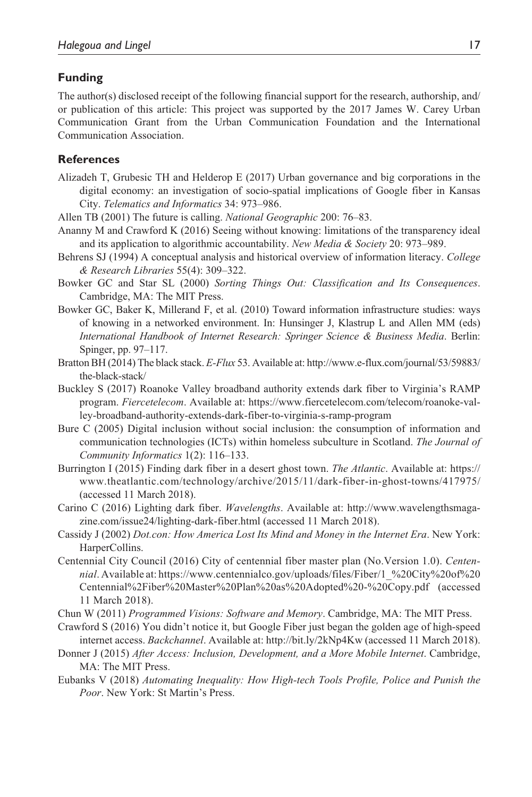#### **Funding**

The author(s) disclosed receipt of the following financial support for the research, authorship, and/ or publication of this article: This project was supported by the 2017 James W. Carey Urban Communication Grant from the Urban Communication Foundation and the International Communication Association.

### **References**

- Alizadeh T, Grubesic TH and Helderop E (2017) Urban governance and big corporations in the digital economy: an investigation of socio-spatial implications of Google fiber in Kansas City. *Telematics and Informatics* 34: 973–986.
- Allen TB (2001) The future is calling. *National Geographic* 200: 76–83.
- Ananny M and Crawford K (2016) Seeing without knowing: limitations of the transparency ideal and its application to algorithmic accountability. *New Media & Society* 20: 973–989.
- Behrens SJ (1994) A conceptual analysis and historical overview of information literacy. *College & Research Libraries* 55(4): 309–322.
- Bowker GC and Star SL (2000) *Sorting Things Out: Classification and Its Consequences*. Cambridge, MA: The MIT Press.
- Bowker GC, Baker K, Millerand F, et al. (2010) Toward information infrastructure studies: ways of knowing in a networked environment. In: Hunsinger J, Klastrup L and Allen MM (eds) *International Handbook of Internet Research: Springer Science & Business Media*. Berlin: Spinger, pp. 97–117.
- Bratton BH (2014) The black stack. *E-Flux* 53. Available at: [http://www.e-flux.com/journal/53/59883/](http://www.e-flux.com/journal/53/59883/the-black-stack/) [the-black-stack/](http://www.e-flux.com/journal/53/59883/the-black-stack/)
- Buckley S (2017) Roanoke Valley broadband authority extends dark fiber to Virginia's RAMP program. *Fiercetelecom*. Available at: [https://www.fiercetelecom.com/telecom/roanoke-val](https://www.fiercetelecom.com/telecom/roanoke-valley-broadband-authority-extends-dark-fiber-to-virginia-s-ramp-program)[ley-broadband-authority-extends-dark-fiber-to-virginia-s-ramp-program](https://www.fiercetelecom.com/telecom/roanoke-valley-broadband-authority-extends-dark-fiber-to-virginia-s-ramp-program)
- Bure C (2005) Digital inclusion without social inclusion: the consumption of information and communication technologies (ICTs) within homeless subculture in Scotland. *The Journal of Community Informatics* 1(2): 116–133.
- Burrington I (2015) Finding dark fiber in a desert ghost town. *The Atlantic*. Available at: [https://](https://www.theatlantic.com/technology/archive/2015/11/dark-fiber-in-ghost-towns/417975/) [www.theatlantic.com/technology/archive/2015/11/dark-fiber-in-ghost-towns/417975/](https://www.theatlantic.com/technology/archive/2015/11/dark-fiber-in-ghost-towns/417975/)  (accessed 11 March 2018).
- Carino C (2016) Lighting dark fiber. *Wavelengths*. Available at: [http://www.wavelengthsmaga](http://www.wavelengthsmagazine.com/issue24/lighting-dark-fiber.html)[zine.com/issue24/lighting-dark-fiber.html](http://www.wavelengthsmagazine.com/issue24/lighting-dark-fiber.html) (accessed 11 March 2018).
- Cassidy J (2002) *Dot.con: How America Lost Its Mind and Money in the Internet Era*. New York: HarperCollins.
- Centennial City Council (2016) City of centennial fiber master plan (No.Version 1.0). *Centennial*. Available at: [https://www.centennialco.gov/uploads/files/Fiber/1\\_%20City%20of%20](https://www.centennialco.gov/uploads/files/Fiber/1_%20City%20of%20
Centennial%2Fiber%20Master%20Plan%20as%20Adopted%20-%20Copy.pdf) [Centennial%2Fiber%20Master%20Plan%20as%20Adopted%20-%20Copy.pdf](https://www.centennialco.gov/uploads/files/Fiber/1_%20City%20of%20
Centennial%2Fiber%20Master%20Plan%20as%20Adopted%20-%20Copy.pdf) (accessed 11 March 2018).
- Chun W (2011) *Programmed Visions: Software and Memory*. Cambridge, MA: The MIT Press.
- Crawford S (2016) You didn't notice it, but Google Fiber just began the golden age of high-speed internet access. *Backchannel*. Available at:<http://bit.ly/2kNp4Kw>(accessed 11 March 2018).
- Donner J (2015) *After Access: Inclusion, Development, and a More Mobile Internet*. Cambridge, MA: The MIT Press.
- Eubanks V (2018) *Automating Inequality: How High-tech Tools Profile, Police and Punish the Poor*. New York: St Martin's Press.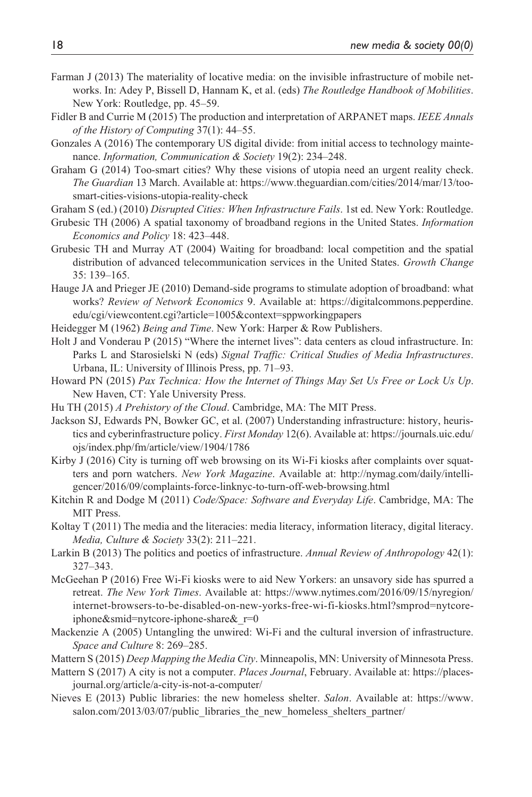- Farman J (2013) The materiality of locative media: on the invisible infrastructure of mobile networks. In: Adey P, Bissell D, Hannam K, et al. (eds) *The Routledge Handbook of Mobilities*. New York: Routledge, pp. 45–59.
- Fidler B and Currie M (2015) The production and interpretation of ARPANET maps. *IEEE Annals of the History of Computing* 37(1): 44–55.
- Gonzales A (2016) The contemporary US digital divide: from initial access to technology maintenance. *Information, Communication & Society* 19(2): 234–248.
- Graham G (2014) Too-smart cities? Why these visions of utopia need an urgent reality check. *The Guardian* 13 March. Available at: [https://www.theguardian.com/cities/2014/mar/13/too](https://www.theguardian.com/cities/2014/mar/13/too-smart-cities-visions-utopia-reality-check)[smart-cities-visions-utopia-reality-check](https://www.theguardian.com/cities/2014/mar/13/too-smart-cities-visions-utopia-reality-check)

Graham S (ed.) (2010) *Disrupted Cities: When Infrastructure Fails*. 1st ed. New York: Routledge.

- Grubesic TH (2006) A spatial taxonomy of broadband regions in the United States. *Information Economics and Policy* 18: 423–448.
- Grubesic TH and Murray AT (2004) Waiting for broadband: local competition and the spatial distribution of advanced telecommunication services in the United States. *Growth Change* 35: 139–165.
- Hauge JA and Prieger JE (2010) Demand-side programs to stimulate adoption of broadband: what works? *Review of Network Economics* 9. Available at: [https://digitalcommons.pepperdine.](https://digitalcommons.pepperdine.edu/cgi/viewcontent.cgi?article=1005&context=sppworkingpapers) [edu/cgi/viewcontent.cgi?article=1005&context=sppworkingpapers](https://digitalcommons.pepperdine.edu/cgi/viewcontent.cgi?article=1005&context=sppworkingpapers)
- Heidegger M (1962) *Being and Time*. New York: Harper & Row Publishers.
- Holt J and Vonderau P (2015) "Where the internet lives": data centers as cloud infrastructure. In: Parks L and Starosielski N (eds) *Signal Traffic: Critical Studies of Media Infrastructures*. Urbana, IL: University of Illinois Press, pp. 71–93.
- Howard PN (2015) *Pax Technica: How the Internet of Things May Set Us Free or Lock Us Up*. New Haven, CT: Yale University Press.
- Hu TH (2015) *A Prehistory of the Cloud*. Cambridge, MA: The MIT Press.
- Jackson SJ, Edwards PN, Bowker GC, et al. (2007) Understanding infrastructure: history, heuristics and cyberinfrastructure policy. *First Monday* 12(6). Available at: [https://journals.uic.edu/](https://journals.uic.edu/ojs/index.php/fm/article/view/1904/1786) [ojs/index.php/fm/article/view/1904/1786](https://journals.uic.edu/ojs/index.php/fm/article/view/1904/1786)
- Kirby J (2016) City is turning off web browsing on its Wi-Fi kiosks after complaints over squatters and porn watchers. *New York Magazine*. Available at: [http://nymag.com/daily/intelli](http://nymag.com/daily/intelligencer/2016/09/complaints-force-linknyc-to-turn-off-web-browsing.html)[gencer/2016/09/complaints-force-linknyc-to-turn-off-web-browsing.html](http://nymag.com/daily/intelligencer/2016/09/complaints-force-linknyc-to-turn-off-web-browsing.html)
- Kitchin R and Dodge M (2011) *Code/Space: Software and Everyday Life*. Cambridge, MA: The MIT Press.
- Koltay T (2011) The media and the literacies: media literacy, information literacy, digital literacy. *Media, Culture & Society* 33(2): 211–221.
- Larkin B (2013) The politics and poetics of infrastructure. *Annual Review of Anthropology* 42(1): 327–343.
- McGeehan P (2016) Free Wi-Fi kiosks were to aid New Yorkers: an unsavory side has spurred a retreat. *The New York Times*. Available at: [https://www.nytimes.com/2016/09/15/nyregion/](https://www.nytimes.com/2016/09/15/nyregion/internet-browsers-to-be-disabled-on-new-yorks-free-wi-fi-kiosks.html?smprod=nytcore-iphone&smid=nytcore-iphone-share&_r=0) [internet-browsers-to-be-disabled-on-new-yorks-free-wi-fi-kiosks.html?smprod=nytcore](https://www.nytimes.com/2016/09/15/nyregion/internet-browsers-to-be-disabled-on-new-yorks-free-wi-fi-kiosks.html?smprod=nytcore-iphone&smid=nytcore-iphone-share&_r=0)[iphone&smid=nytcore-iphone-share&\\_r=0](https://www.nytimes.com/2016/09/15/nyregion/internet-browsers-to-be-disabled-on-new-yorks-free-wi-fi-kiosks.html?smprod=nytcore-iphone&smid=nytcore-iphone-share&_r=0)
- Mackenzie A (2005) Untangling the unwired: Wi-Fi and the cultural inversion of infrastructure. *Space and Culture* 8: 269–285.
- Mattern S (2015) *Deep Mapping the Media City*. Minneapolis, MN: University of Minnesota Press.
- Mattern S (2017) A city is not a computer. *Places Journal*, February. Available at: [https://places](https://placesjournal.org/article/a-city-is-not-a-computer/)[journal.org/article/a-city-is-not-a-computer/](https://placesjournal.org/article/a-city-is-not-a-computer/)
- Nieves E (2013) Public libraries: the new homeless shelter. *Salon*. Available at: [https://www.](https://www.salon.com/2013/03/07/public_libraries_the_new_homeless_shelters_partner/) salon.com/2013/03/07/public libraries the new homeless shelters partner/